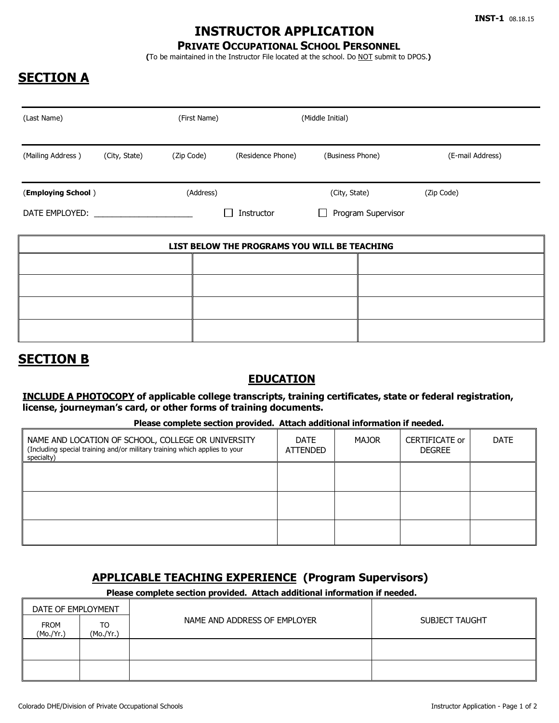# **INSTRUCTOR APPLICATION**

**PRIVATE OCCUPATIONAL SCHOOL PERSONNEL**

**(**To be maintained in the Instructor File located at the school. Do NOT submit to DPOS.**)**

# **SECTION A**

| (Last Name)                                  |               | (First Name) |                   | (Middle Initial)                               |                  |  |
|----------------------------------------------|---------------|--------------|-------------------|------------------------------------------------|------------------|--|
| (Mailing Address)                            | (City, State) | (Zip Code)   | (Residence Phone) | (Business Phone)                               | (E-mail Address) |  |
| (Employing School)<br>DATE EMPLOYED: Network |               | (Address)    | Instructor        | (City, State)<br>Program Supervisor<br>$\perp$ | (Zip Code)       |  |
|                                              |               |              |                   | LIST BELOW THE PROGRAMS YOU WILL BE TEACHING   |                  |  |
|                                              |               |              |                   |                                                |                  |  |
|                                              |               |              |                   |                                                |                  |  |
|                                              |               |              |                   |                                                |                  |  |

## **SECTION B**

## **EDUCATION**

#### **INCLUDE A PHOTOCOPY of applicable college transcripts, training certificates, state or federal registration, license, journeyman's card, or other forms of training documents.**

#### **Please complete section provided. Attach additional information if needed.**

| NAME AND LOCATION OF SCHOOL, COLLEGE OR UNIVERSITY<br>(Including special training and/or military training which applies to your<br>specialty) | <b>DATE</b><br><b>ATTENDED</b> | <b>MAJOR</b> | <b>CERTIFICATE or</b><br><b>DEGREE</b> | <b>DATE</b> |
|------------------------------------------------------------------------------------------------------------------------------------------------|--------------------------------|--------------|----------------------------------------|-------------|
|                                                                                                                                                |                                |              |                                        |             |
|                                                                                                                                                |                                |              |                                        |             |
|                                                                                                                                                |                                |              |                                        |             |

## **APPLICABLE TEACHING EXPERIENCE (Program Supervisors)**

#### **Please complete section provided. Attach additional information if needed.**

| DATE OF EMPLOYMENT       |                 |                              |                |  |  |
|--------------------------|-----------------|------------------------------|----------------|--|--|
| <b>FROM</b><br>(Mo./Yr.) | TO<br>(Mo./Yr.) | NAME AND ADDRESS OF EMPLOYER | SUBJECT TAUGHT |  |  |
|                          |                 |                              |                |  |  |
|                          |                 |                              |                |  |  |